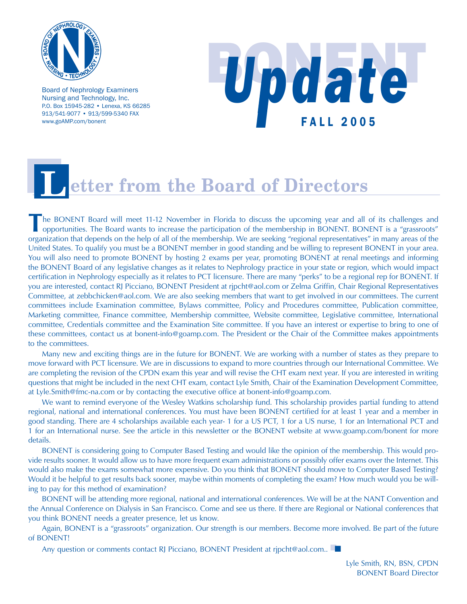

Board of Nephrology Examiners Nursing and Technology, Inc. P.O. Box 15945-282 • Lenexa, KS 66285 913/541-9077 • 913/599-5340 FAX www.goAMP.com/bonent



### etter from the Board of Directors

**T**he BONENT Board will meet 11-12 November in Florida to discuss the upcoming year and all of its challenges and opportunities. The Board wants to increase the participation of the membership in BONENT. BONENT is a "grassroots" organization that depends on the help of all of the membership. We are seeking "regional representatives" in many areas of the United States. To qualify you must be a BONENT member in good standing and be willing to represent BONENT in your area. You will also need to promote BONENT by hosting 2 exams per year, promoting BONENT at renal meetings and informing the BONENT Board of any legislative changes as it relates to Nephrology practice in your state or region, which would impact certification in Nephrology especially as it relates to PCT licensure. There are many "perks" to be a regional rep for BONENT. If you are interested, contact RJ Picciano, BONENT President at rjpcht@aol.com or Zelma Griffin, Chair Regional Representatives Committee, at zebbchicken@aol.com. We are also seeking members that want to get involved in our committees. The current committees include Examination committee, Bylaws committee, Policy and Procedures committee, Publication committee, Marketing committee, Finance committee, Membership committee, Website committee, Legislative committee, International committee, Credentials committee and the Examination Site committee. If you have an interest or expertise to bring to one of these committees, contact us at bonent-info@goamp.com. The President or the Chair of the Committee makes appointments to the committees.

Many new and exciting things are in the future for BONENT. We are working with a number of states as they prepare to move forward with PCT licensure. We are in discussions to expand to more countries through our International Committee. We are completing the revision of the CPDN exam this year and will revise the CHT exam next year. If you are interested in writing questions that might be included in the next CHT exam, contact Lyle Smith, Chair of the Examination Development Committee, at Lyle.Smith@fmc-na.com or by contacting the executive office at bonent-info@goamp.com.

We want to remind everyone of the Wesley Watkins scholarship fund. This scholarship provides partial funding to attend regional, national and international conferences. You must have been BONENT certified for at least 1 year and a member in good standing. There are 4 scholarships available each year- 1 for a US PCT, 1 for a US nurse, 1 for an International PCT and 1 for an International nurse. See the article in this newsletter or the BONENT website at www.goamp.com/bonent for more details.

BONENT is considering going to Computer Based Testing and would like the opinion of the membership. This would provide results sooner. It would allow us to have more frequent exam administrations or possibly offer exams over the Internet. This would also make the exams somewhat more expensive. Do you think that BONENT should move to Computer Based Testing? Would it be helpful to get results back sooner, maybe within moments of completing the exam? How much would you be willing to pay for this method of examination?

BONENT will be attending more regional, national and international conferences. We will be at the NANT Convention and the Annual Conference on Dialysis in San Francisco. Come and see us there. If there are Regional or National conferences that you think BONENT needs a greater presence, let us know.

Again, BONENT is a "grassroots" organization. Our strength is our members. Become more involved. Be part of the future of BONENT!

Any question or comments contact RJ Picciano, BONENT President at rjpcht@aol.com.. ■■

Lyle Smith, RN, BSN, CPDN BONENT Board Director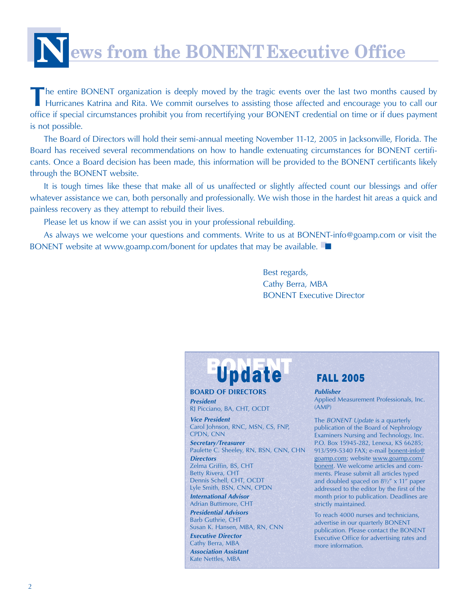# **ews from the BONENTExecutive Office**

**T**he entire BONENT organization is deeply moved by the tragic events over the last two months caused by Hurricanes Katrina and Rita. We commit ourselves to assisting those affected and encourage you to call our office if special circumstances prohibit you from recertifying your BONENT credential on time or if dues payment is not possible.

The Board of Directors will hold their semi-annual meeting November 11-12, 2005 in Jacksonville, Florida. The Board has received several recommendations on how to handle extenuating circumstances for BONENT certificants. Once a Board decision has been made, this information will be provided to the BONENT certificants likely through the BONENT website.

It is tough times like these that make all of us unaffected or slightly affected count our blessings and offer whatever assistance we can, both personally and professionally. We wish those in the hardest hit areas a quick and painless recovery as they attempt to rebuild their lives.

Please let us know if we can assist you in your professional rebuilding.

As always we welcome your questions and comments. Write to us at BONENT-info@goamp.com or visit the BONENT website at www.goamp.com/bonent for updates that may be available.

> Best regards, Cathy Berra, MBA BONENT Executive Director

## **BUpdate**

**BOARD OF DIRECTORS** *President*

RJ Picciano, BA, CHT, OCDT

*Vice President* Carol Johnson, RNC, MSN, CS, FNP, CPDN, CNN

*Secretary/Treasurer* Paulette C. Sheeley, RN, BSN, CNN, CHN

*Directors* Zelma Griffin, BS, CHT Betty Rivera, CHT Dennis Schell, CHT, OCDT Lyle Smith, BSN, CNN, CPDN

*International Advisor* Adrian Buttimore, CHT

*Presidential Advisors* Barb Guthrie, CHT Susan K. Hansen, MBA, RN, CNN

*Executive Director* Cathy Berra, MBA

*Association Assistant* Kate Nettles, MBA

#### FALL 2005

*Publisher* Applied Measurement Professionals, Inc. (AMP)

The *BONENT Update* is a quarterly publication of the Board of Nephrology Examiners Nursing and Technology, Inc. P.O. Box 15945-282, Lenexa, KS 66285; 913/599-5340 FAX; e-mail bonent-info@ goamp.com; website www.goamp.com/ bonent. We welcome articles and comments. Please submit all articles typed and doubled spaced on 8½" x 11" paper addressed to the editor by the first of the month prior to publication. Deadlines are strictly maintained.

To reach 4000 nurses and technicians, advertise in our quarterly BONENT publication. Please contact the BONENT Executive Office for advertising rates and more information.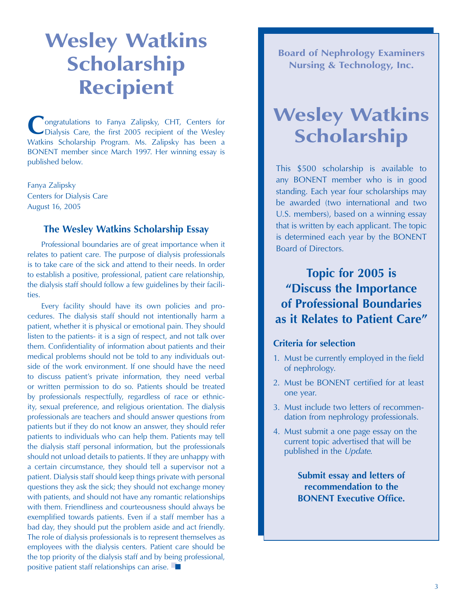### **Wesley Watkins Scholarship Recipient**

**C**ongratulations to Fanya Zalipsky, CHT, Centers for Dialysis Care, the first 2005 recipient of the Wesley Watkins Scholarship Program. Ms. Zalipsky has been a BONENT member since March 1997. Her winning essay is published below.

Fanya Zalipsky Centers for Dialysis Care August 16, 2005

#### **The Wesley Watkins Scholarship Essay**

Professional boundaries are of great importance when it relates to patient care. The purpose of dialysis professionals is to take care of the sick and attend to their needs. In order to establish a positive, professional, patient care relationship, the dialysis staff should follow a few guidelines by their facilities.

Every facility should have its own policies and procedures. The dialysis staff should not intentionally harm a patient, whether it is physical or emotional pain. They should listen to the patients- it is a sign of respect, and not talk over them. Confidentiality of information about patients and their medical problems should not be told to any individuals outside of the work environment. If one should have the need to discuss patient's private information, they need verbal or written permission to do so. Patients should be treated by professionals respectfully, regardless of race or ethnicity, sexual preference, and religious orientation. The dialysis professionals are teachers and should answer questions from patients but if they do not know an answer, they should refer patients to individuals who can help them. Patients may tell the dialysis staff personal information, but the professionals should not unload details to patients. If they are unhappy with a certain circumstance, they should tell a supervisor not a patient. Dialysis staff should keep things private with personal questions they ask the sick; they should not exchange money with patients, and should not have any romantic relationships with them. Friendliness and courteousness should always be exemplified towards patients. Even if a staff member has a bad day, they should put the problem aside and act friendly. The role of dialysis professionals is to represent themselves as employees with the dialysis centers. Patient care should be the top priority of the dialysis staff and by being professional, positive patient staff relationships can arise. ■■

**Board of Nephrology Examiners Nursing & Technology, Inc.**

### **Wesley Watkins Scholarship**

This \$500 scholarship is available to any BONENT member who is in good standing. Each year four scholarships may be awarded (two international and two U.S. members), based on a winning essay that is written by each applicant. The topic is determined each year by the BONENT Board of Directors.

**Topic for 2005 is "Discuss the Importance of Professional Boundaries as it Relates to Patient Care"** 

#### **Criteria for selection**

- 1. Must be currently employed in the field of nephrology.
- 2. Must be BONENT certified for at least one year.
- 3. Must include two letters of recommendation from nephrology professionals.
- 4. Must submit a one page essay on the current topic advertised that will be published in the *Update*.

**Submit essay and letters of recommendation to the BONENT Executive Office.**